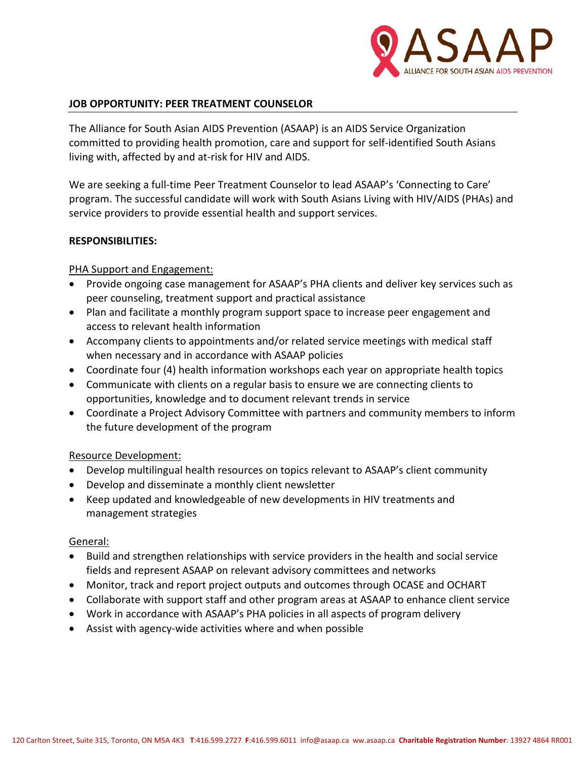

#### **JOB OPPORTUNITY: PEER TREATMENT COUNSELOR**

The Alliance for South Asian AIDS Prevention (ASAAP) is an AIDS Service Organization committed to providing health promotion, care and support for self-identified South Asians living with, affected by and at-risk for HIV and AIDS.

We are seeking a full-time Peer Treatment Counselor to lead ASAAP's 'Connecting to Care' program. The successful candidate will work with South Asians Living with HIV/AIDS (PHAs) and service providers to provide essential health and support services.

#### **RESPONSIBILITIES:**

## PHA Support and Engagement:

- Provide ongoing case management for ASAAP's PHA clients and deliver key services such as peer counseling, treatment support and practical assistance
- Plan and facilitate a monthly program support space to increase peer engagement and access to relevant health information
- Accompany clients to appointments and/or related service meetings with medical staff when necessary and in accordance with ASAAP policies
- Coordinate four (4) health information workshops each year on appropriate health topics
- Communicate with clients on a regular basis to ensure we are connecting clients to opportunities, knowledge and to document relevant trends in service
- Coordinate a Project Advisory Committee with partners and community members to inform the future development of the program

## Resource Development:

- Develop multilingual health resources on topics relevant to ASAAP's client community
- Develop and disseminate a monthly client newsletter
- Keep updated and knowledgeable of new developments in HIV treatments and management strategies

## General:

- Build and strengthen relationships with service providers in the health and social service fields and represent ASAAP on relevant advisory committees and networks
- Monitor, track and report project outputs and outcomes through OCASE and OCHART
- Collaborate with support staff and other program areas at ASAAP to enhance client service
- Work in accordance with ASAAP's PHA policies in all aspects of program delivery
- Assist with agency-wide activities where and when possible